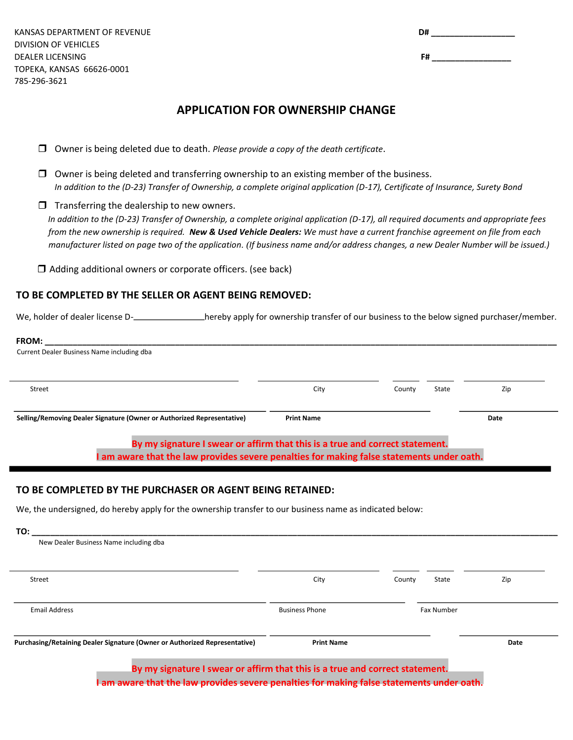KANSAS DEPARTMENT OF REVENUE DIVISION OF VEHICLES DEALER LICENSING TOPEKA, KANSAS 66626-0001 785-296-3621

| D# |  |  |  |
|----|--|--|--|
|    |  |  |  |
| F# |  |  |  |

## **APPLICATION FOR OWNERSHIP CHANGE**

- Owner is being deleted due to death. *Please provide a copy of the death certificate*.
- $\Box$  Owner is being deleted and transferring ownership to an existing member of the business. *In addition to the (D-23) Transfer of Ownership, a complete original application (D-17), Certificate of Insurance, Surety Bond*
- $\Box$  Transferring the dealership to new owners. *In addition to the (D-23) Transfer of Ownership, a complete original application (D-17), all required documents and appropriate fees from the new ownership is required. New & Used Vehicle Dealers: We must have a current franchise agreement on file from each manufacturer listed on page two of the application. (If business name and/or address changes, a new Dealer Number will be issued.)*

 $\Box$  Adding additional owners or corporate officers. (see back)

## **TO BE COMPLETED BY THE SELLER OR AGENT BEING REMOVED:**

We, holder of dealer license D-<br>hereby apply for ownership transfer of our business to the below signed purchaser/member.

| <b>FROM:</b>                                                           |                   |        |       |      |  |
|------------------------------------------------------------------------|-------------------|--------|-------|------|--|
| Current Dealer Business Name including dba                             |                   |        |       |      |  |
|                                                                        |                   |        |       |      |  |
|                                                                        |                   |        |       |      |  |
| Street                                                                 | City              | County | State | Zip  |  |
|                                                                        |                   |        |       |      |  |
|                                                                        |                   |        |       |      |  |
| Selling/Removing Dealer Signature (Owner or Authorized Representative) | <b>Print Name</b> |        |       | Date |  |
|                                                                        |                   |        |       |      |  |
|                                                                        |                   |        |       |      |  |

**By my signature I swear or affirm that this is a true and correct statement. I am aware that the law provides severe penalties for making false statements under oath.**

## **TO BE COMPLETED BY THE PURCHASER OR AGENT BEING RETAINED:**

We, the undersigned, do hereby apply for the ownership transfer to our business name as indicated below:

| Street                                                                     | City                  | County | State             | Zip  |
|----------------------------------------------------------------------------|-----------------------|--------|-------------------|------|
| <b>Email Address</b>                                                       | <b>Business Phone</b> |        | <b>Fax Number</b> |      |
| Purchasing/Retaining Dealer Signature (Owner or Authorized Representative) | <b>Print Name</b>     |        |                   | Date |